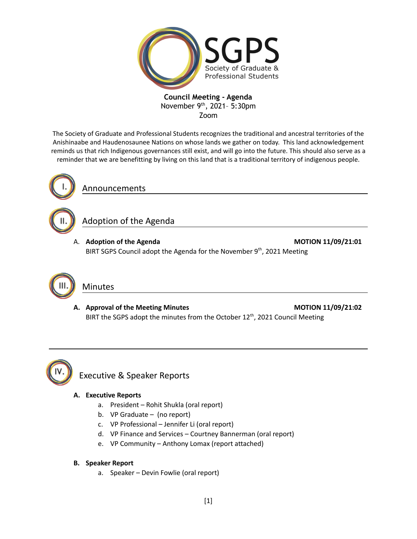

The Society of Graduate and Professional Students recognizes the traditional and ancestral territories of the Anishinaabe and Haudenosaunee Nations on whose lands we gather on today. This land acknowledgement reminds us that rich Indigenous governances still exist, and will go into the future. This should also serve as a reminder that we are benefitting by living on this land that is a traditional territory of indigenous people.



Announcements

## Adoption of the Agenda

A. **Adoption of the Agenda MOTION 11/09/21:01** BIRT SGPS Council adopt the Agenda for the November 9<sup>th</sup>, 2021 Meeting



## Minutes

**A. Approval of the Meeting Minutes MOTION 11/09/21:02** BIRT the SGPS adopt the minutes from the October 12<sup>th</sup>, 2021 Council Meeting



## Executive & Speaker Reports

### **A. Executive Reports**

- a. President Rohit Shukla (oral report)
- b. VP Graduate (no report)
- c. VP Professional Jennifer Li (oral report)
- d. VP Finance and Services Courtney Bannerman (oral report)
- e. VP Community Anthony Lomax (report attached)

### **B. Speaker Report**

a. Speaker – Devin Fowlie (oral report)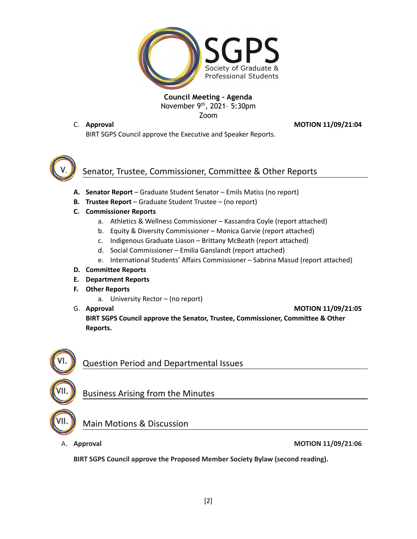

C. **Approval MOTION 11/09/21:04**

BIRT SGPS Council approve the Executive and Speaker Reports.

### Senator, Trustee, Commissioner, Committee & Other Reports

- **A. Senator Report** Graduate Student Senator Emils Matiss (no report)
- **B. Trustee Report** Graduate Student Trustee (no report)
- **C. Commissioner Reports**
	- a. Athletics & Wellness Commissioner Kassandra Coyle (report attached)
	- b. Equity & Diversity Commissioner Monica Garvie (report attached)
	- c. Indigenous Graduate Liason Brittany McBeath (report attached)
	- d. Social Commissioner Emilia Ganslandt (report attached)
	- e. International Students' Affairs Commissioner Sabrina Masud (report attached)
- **D. Committee Reports**
- **E. Department Reports**
- **F. Other Reports**
	- a. University Rector (no report)
- 

G. **Approval MOTION 11/09/21:05 BIRT SGPS Council approve the Senator, Trustee, Commissioner, Committee & Other Reports.**



# Business Arising from the Minutes

Question Period and Departmental Issues

### Main Motions & Discussion

#### A. **Approval MOTION 11/09/21:06**

**BIRT SGPS Council approve the Proposed Member Society Bylaw (second reading).**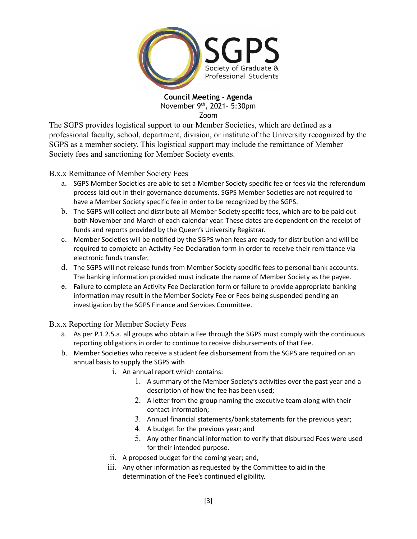

The SGPS provides logistical support to our Member Societies, which are defined as a professional faculty, school, department, division, or institute of the University recognized by the SGPS as a member society. This logistical support may include the remittance of Member Society fees and sanctioning for Member Society events.

B.x.x Remittance of Member Society Fees

- a. SGPS Member Societies are able to set a Member Society specific fee or fees via the referendum process laid out in their governance documents. SGPS Member Societies are not required to have a Member Society specific fee in order to be recognized by the SGPS.
- b. The SGPS will collect and distribute all Member Society specific fees, which are to be paid out both November and March of each calendar year. These dates are dependent on the receipt of funds and reports provided by the Queen's University Registrar.
- c. Member Societies will be notified by the SGPS when fees are ready for distribution and will be required to complete an Activity Fee Declaration form in order to receive their remittance via electronic funds transfer.
- d. The SGPS will not release funds from Member Society specific fees to personal bank accounts. The banking information provided must indicate the name of Member Society as the payee.
- e. Failure to complete an Activity Fee Declaration form or failure to provide appropriate banking information may result in the Member Society Fee or Fees being suspended pending an investigation by the SGPS Finance and Services Committee.

B.x.x Reporting for Member Society Fees

- a. As per P.1.2.5.a. all groups who obtain a Fee through the SGPS must comply with the continuous reporting obligations in order to continue to receive disbursements of that Fee.
- b. Member Societies who receive a student fee disbursement from the SGPS are required on an annual basis to supply the SGPS with
	- i. An annual report which contains:
		- 1. A summary of the Member Society's activities over the past year and a description of how the fee has been used;
		- 2. A letter from the group naming the executive team along with their contact information;
		- 3. Annual financial statements/bank statements for the previous year;
		- 4. A budget for the previous year; and
		- 5. Any other financial information to verify that disbursed Fees were used for their intended purpose.
	- ii. A proposed budget for the coming year; and,
	- iii. Any other information as requested by the Committee to aid in the determination of the Fee's continued eligibility.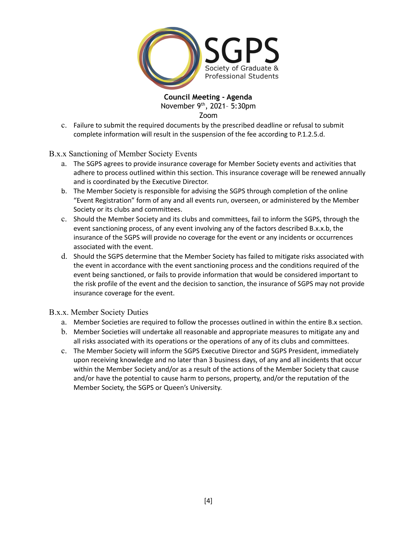

c. Failure to submit the required documents by the prescribed deadline or refusal to submit complete information will result in the suspension of the fee according to P.1.2.5.d.

B.x.x Sanctioning of Member Society Events

- a. The SGPS agrees to provide insurance coverage for Member Society events and activities that adhere to process outlined within this section. This insurance coverage will be renewed annually and is coordinated by the Executive Director.
- b. The Member Society is responsible for advising the SGPS through completion of the online "Event Registration" form of any and all events run, overseen, or administered by the Member Society or its clubs and committees.
- c. Should the Member Society and its clubs and committees, fail to inform the SGPS, through the event sanctioning process, of any event involving any of the factors described B.x.x.b, the insurance of the SGPS will provide no coverage for the event or any incidents or occurrences associated with the event.
- d. Should the SGPS determine that the Member Society has failed to mitigate risks associated with the event in accordance with the event sanctioning process and the conditions required of the event being sanctioned, or fails to provide information that would be considered important to the risk profile of the event and the decision to sanction, the insurance of SGPS may not provide insurance coverage for the event.

B.x.x. Member Society Duties

- a. Member Societies are required to follow the processes outlined in within the entire B.x section.
- b. Member Societies will undertake all reasonable and appropriate measures to mitigate any and all risks associated with its operations or the operations of any of its clubs and committees.
- c. The Member Society will inform the SGPS Executive Director and SGPS President, immediately upon receiving knowledge and no later than 3 business days, of any and all incidents that occur within the Member Society and/or as a result of the actions of the Member Society that cause and/or have the potential to cause harm to persons, property, and/or the reputation of the Member Society, the SGPS or Queen's University.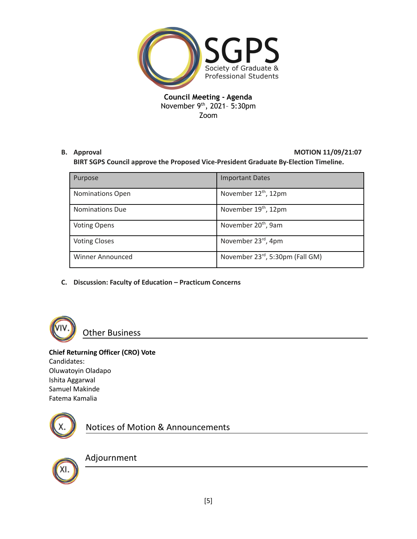

### **B. Approval MOTION 11/09/21:07**

**BIRT SGPS Council approve the Proposed Vice-President Graduate By-Election Timeline.**

| Purpose                 | <b>Important Dates</b>           |
|-------------------------|----------------------------------|
| <b>Nominations Open</b> | November 12 <sup>th</sup> , 12pm |
| <b>Nominations Due</b>  | November $19th$ , 12pm           |
| <b>Voting Opens</b>     | November 20 <sup>th</sup> , 9am  |
| <b>Voting Closes</b>    | November 23rd, 4pm               |
| <b>Winner Announced</b> | November 23rd, 5:30pm (Fall GM)  |

**C. Discussion: Faculty of Education – Practicum Concerns**



Other Business

### **Chief Returning Officer (CRO) Vote**

Candidates: Oluwatoyin Oladapo Ishita Aggarwal Samuel Makinde Fatema Kamalia



Notices of Motion & Announcements



## Adjournment